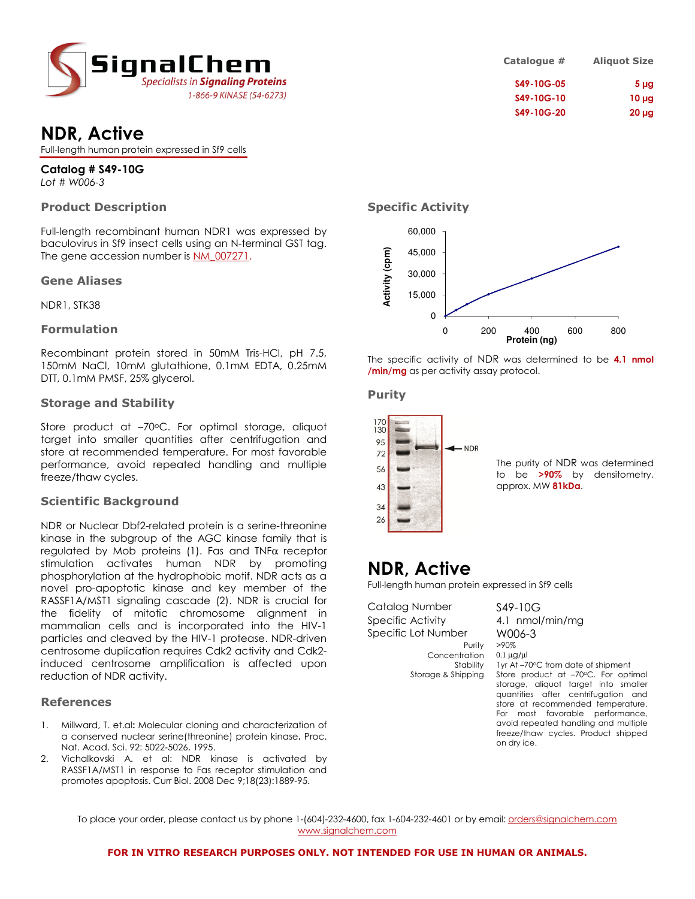

## NDR, Active

Full-length human protein expressed in Sf9 cells

Catalog # S49-10G Lot # W006-3

### Product Description

Full-length recombinant human NDR1 was expressed by baculovirus in Sf9 insect cells using an N-terminal GST tag. The gene accession number is NM\_007271.

### Gene Aliases

NDR1, STK38

### Formulation

Recombinant protein stored in 50mM Tris-HCl, pH 7.5, 150mM NaCl, 10mM glutathione, 0.1mM EDTA, 0.25mM DTT, 0.1mM PMSF, 25% glycerol.

### Storage and Stability

Store product at -70°C. For optimal storage, aliquot target into smaller quantities after centrifugation and store at recommended temperature. For most favorable performance, avoid repeated handling and multiple freeze/thaw cycles.

### Scientific Background

NDR or Nuclear Dbf2-related protein is a serine-threonine kinase in the subgroup of the AGC kinase family that is regulated by Mob proteins (1). Fas and TNFα receptor stimulation activates human NDR by promoting phosphorylation at the hydrophobic motif. NDR acts as a novel pro-apoptotic kinase and key member of the RASSF1A/MST1 signaling cascade (2). NDR is crucial for the fidelity of mitotic chromosome alignment in mammalian cells and is incorporated into the HIV-1 particles and cleaved by the HIV-1 protease. NDR-driven centrosome duplication requires Cdk2 activity and Cdk2 induced centrosome amplification is affected upon reduction of NDR activity.

### References

- 1. Millward, T. et.al: Molecular cloning and characterization of a conserved nuclear serine(threonine) protein kinase. Proc. Nat. Acad. Sci. 92: 5022-5026, 1995.
- 2. Vichalkovski A. et al: NDR kinase is activated by RASSF1A/MST1 in response to Fas receptor stimulation and promotes apoptosis. Curr Biol. 2008 Dec 9;18(23):1889-95.

| <b>Aliquot Size</b> | Catalogue # |
|---------------------|-------------|
| 5 <sub>µg</sub>     | S49-10G-05  |
| $10 \mu g$          | S49-10G-10  |
| $20 \mu g$          | S49-10G-20  |

### Specific Activity



The specific activity of NDR was determined to be 4.1 nmol /min/mg as per activity assay protocol.

### Purity



### NDR, Active

Full-length human protein expressed in Sf9 cells

Catalog Number S49-10G Specific Activity 4.1 nmol/min/mg Specific Lot Number W006-3 Purity >90% Concentration 0.1 µg/µl<br>Stability 1 yr At-7

Stability 1yr At –70°C from date of shipment<br>Storage & Shipping Store product at –70°C. For opt Store product at –70°C. For optimal storage, aliquot target into smaller quantities after centrifugation and store at recommended temperature. For most favorable performance, avoid repeated handling and multiple freeze/thaw cycles. Product shipped on dry ice.

To place your order, please contact us by phone 1-(604)-232-4600, fax 1-604-232-4601 or by email: orders@signalchem.com www.signalchem.com